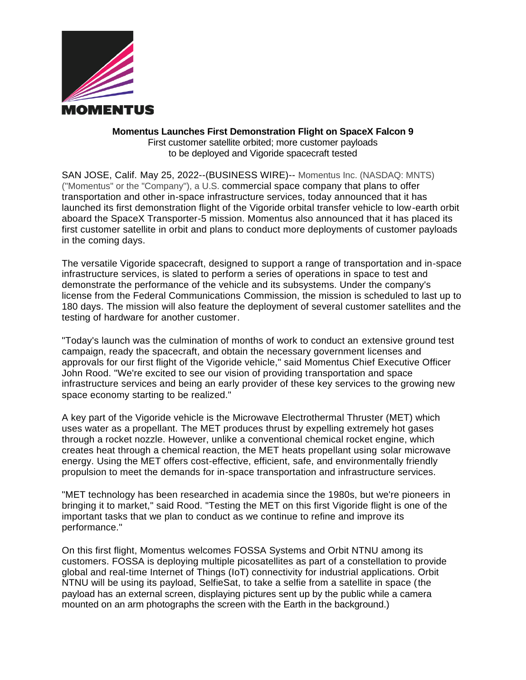

## **Momentus Launches First Demonstration Flight on SpaceX Falcon 9**

First customer satellite orbited; more customer payloads to be deployed and Vigoride spacecraft tested

SAN JOSE, Calif. May 25, 2022--(BUSINESS WIRE)-- Momentus Inc. (NASDAQ: MNTS) ("Momentus" or the "Company"), a U.S. commercial space company that plans to offer transportation and other in-space infrastructure services, today announced that it has launched its first demonstration flight of the Vigoride orbital transfer vehicle to low-earth orbit aboard the SpaceX Transporter-5 mission. Momentus also announced that it has placed its first customer satellite in orbit and plans to conduct more deployments of customer payloads in the coming days.

The versatile Vigoride spacecraft, designed to support a range of transportation and in-space infrastructure services, is slated to perform a series of operations in space to test and demonstrate the performance of the vehicle and its subsystems. Under the company's license from the Federal Communications Commission, the mission is scheduled to last up to 180 days. The mission will also feature the deployment of several customer satellites and the testing of hardware for another customer.

"Today's launch was the culmination of months of work to conduct an extensive ground test campaign, ready the spacecraft, and obtain the necessary government licenses and approvals for our first flight of the Vigoride vehicle," said Momentus Chief Executive Officer John Rood. "We're excited to see our vision of providing transportation and space infrastructure services and being an early provider of these key services to the growing new space economy starting to be realized."

A key part of the Vigoride vehicle is the Microwave Electrothermal Thruster (MET) which uses water as a propellant. The MET produces thrust by expelling extremely hot gases through a rocket nozzle. However, unlike a conventional chemical rocket engine, which creates heat through a chemical reaction, the MET heats propellant using solar microwave energy. Using the MET offers cost-effective, efficient, safe, and environmentally friendly propulsion to meet the demands for in-space transportation and infrastructure services.

"MET technology has been researched in academia since the 1980s, but we're pioneers in bringing it to market," said Rood. "Testing the MET on this first Vigoride flight is one of the important tasks that we plan to conduct as we continue to refine and improve its performance."

On this first flight, Momentus welcomes FOSSA Systems and Orbit NTNU among its customers. FOSSA is deploying multiple picosatellites as part of a constellation to provide global and real-time Internet of Things (IoT) connectivity for industrial applications. Orbit NTNU will be using its payload, SelfieSat, to take a selfie from a satellite in space (the payload has an external screen, displaying pictures sent up by the public while a camera mounted on an arm photographs the screen with the Earth in the background.)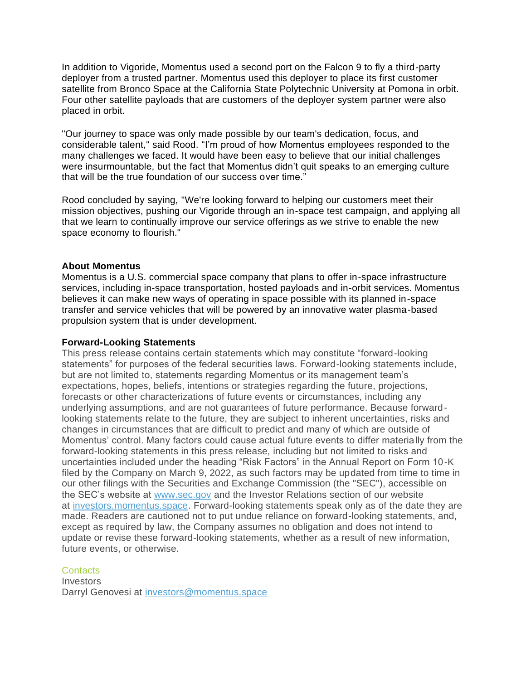In addition to Vigoride, Momentus used a second port on the Falcon 9 to fly a third-party deployer from a trusted partner. Momentus used this deployer to place its first customer satellite from Bronco Space at the California State Polytechnic University at Pomona in orbit. Four other satellite payloads that are customers of the deployer system partner were also placed in orbit.

"Our journey to space was only made possible by our team's dedication, focus, and considerable talent," said Rood. "I'm proud of how Momentus employees responded to the many challenges we faced. It would have been easy to believe that our initial challenges were insurmountable, but the fact that Momentus didn't quit speaks to an emerging culture that will be the true foundation of our success over time."

Rood concluded by saying, "We're looking forward to helping our customers meet their mission objectives, pushing our Vigoride through an in-space test campaign, and applying all that we learn to continually improve our service offerings as we strive to enable the new space economy to flourish."

## **About Momentus**

Momentus is a U.S. commercial space company that plans to offer in-space infrastructure services, including in-space transportation, hosted payloads and in-orbit services. Momentus believes it can make new ways of operating in space possible with its planned in-space transfer and service vehicles that will be powered by an innovative water plasma-based propulsion system that is under development.

## **Forward-Looking Statements**

This press release contains certain statements which may constitute "forward-looking statements" for purposes of the federal securities laws. Forward-looking statements include, but are not limited to, statements regarding Momentus or its management team's expectations, hopes, beliefs, intentions or strategies regarding the future, projections, forecasts or other characterizations of future events or circumstances, including any underlying assumptions, and are not guarantees of future performance. Because forwardlooking statements relate to the future, they are subject to inherent uncertainties, risks and changes in circumstances that are difficult to predict and many of which are outside of Momentus' control. Many factors could cause actual future events to differ materially from the forward-looking statements in this press release, including but not limited to risks and uncertainties included under the heading "Risk Factors" in the Annual Report on Form 10-K filed by the Company on March 9, 2022, as such factors may be updated from time to time in our other filings with the Securities and Exchange Commission (the "SEC"), accessible on the SEC's website at [www.sec.gov](https://cts.businesswire.com/ct/CT?id=smartlink&url=http%3A%2F%2Fwww.sec.gov&esheet=52717121&lan=en-US&anchor=www.sec.gov&index=1&md5=4ce692d82669678a45f78c85c5676b04) and the Investor Relations section of our website at [investors.momentus.space.](https://cts.businesswire.com/ct/CT?id=smartlink&url=http%3A%2F%2Finvestors.momentus.space&esheet=52717121&lan=en-US&anchor=investors.momentus.space&index=2&md5=b32780530c9d711b7a85606d94c065ee) Forward-looking statements speak only as of the date they are made. Readers are cautioned not to put undue reliance on forward-looking statements, and, except as required by law, the Company assumes no obligation and does not intend to update or revise these forward-looking statements, whether as a result of new information, future events, or otherwise.

## **Contacts**

**Investors** Darryl Genovesi at [investors@momentus.space](mailto:investors@momentus.space)